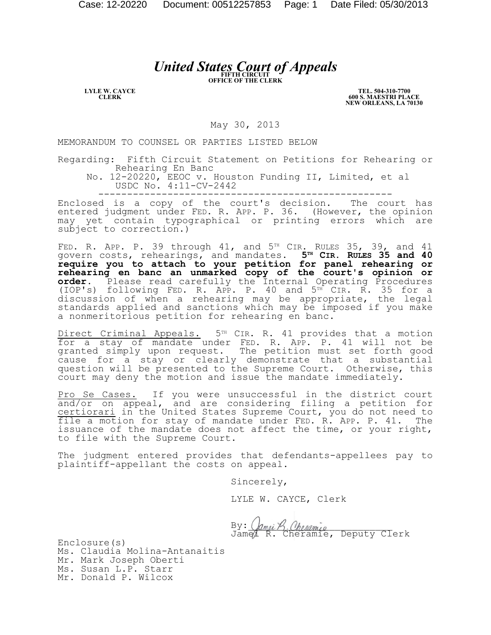# *United States Court of Appeals*

**LYLE W. CAYCE CLERK**

**TEL. 504-310-7700 600 S. MAESTRI PLACE NEW ORLEANS, LA 70130**

May 30, 2013

MEMORANDUM TO COUNSEL OR PARTIES LISTED BELOW

Regarding: Fifth Circuit Statement on Petitions for Rehearing or Rehearing En Banc

No. 12-20220, EEOC v. Houston Funding II, Limited, et al USDC No. 4:11-CV-2442

--------------------------------------------------- Enclosed is a copy of the court's decision. The court has entered judgment under FED. R. APP. P. 36. (However, the opinion may yet contain typographical or printing errors which are subject to correction.)

FED. R. APP. P. 39 through 41, and  $5<sup>TH</sup>$  CIR. RULES 35, 39, and 41 govern costs, rehearings, and mandates. **5TH CIR. RULES 35 and 40 require you to attach to your petition for panel rehearing or rehearing en banc an unmarked copy of the court's opinion or order.** Please read carefully the Internal Operating Procedures (IOP's) following FED. R. APP. P. 40 and 5TH CIR. R. 35 for a discussion of when a rehearing may be appropriate, the legal standards applied and sanctions which may be imposed if you make a nonmeritorious petition for rehearing en banc.

Direct Criminal Appeals. 5<sup>TH</sup> CIR. R. 41 provides that a motion for a stay of mandate under FED. R. APP. P. 41 will not be granted simply upon request. The petition must set forth good cause for a stay or clearly demonstrate that a substantial question will be presented to the Supreme Court. Otherwise, this court may deny the motion and issue the mandate immediately.

Pro Se Cases. If you were unsuccessful in the district court and/or on appeal, and are considering filing a petition for certiorari in the United States Supreme Court, you do not need to file a motion for stay of mandate under FED. R. APP. P. 41. The issuance of the mandate does not affect the time, or your right, to file with the Supreme Court.

The judgment entered provides that defendants-appellees pay to plaintiff-appellant the costs on appeal.

Sincerely,

LYLE W. CAYCE, Clerk

 $By: \; \langle \textit{Amei } \mathcal{B} \rangle$ . Cheramic Jamel R. Cheramie, Deputy Clerk

Enclosure(s) Ms. Claudia Molina-Antanaitis Mr. Mark Joseph Oberti Ms. Susan L.P. Starr Mr. Donald P. Wilcox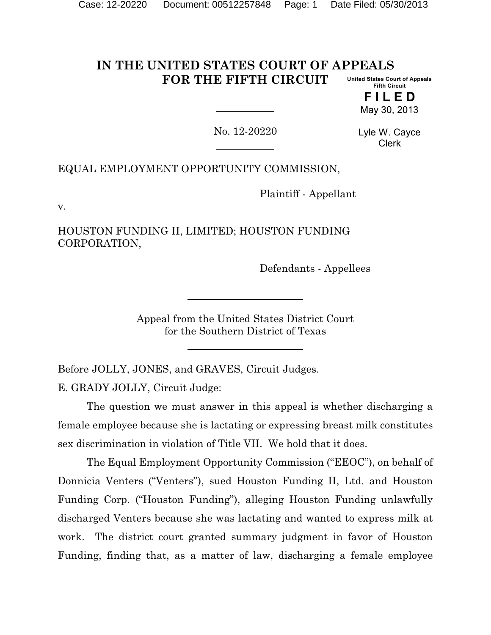#### **IN THE UNITED STATES COURT OF APPEALS FOR THE FIFTH CIRCUIT United States Court of Appeals Fifth Circuit**

**F I L E D** May 30, 2013

No. 12-20220

Lyle W. Cayce Clerk

EQUAL EMPLOYMENT OPPORTUNITY COMMISSION,

Plaintiff - Appellant

v.

HOUSTON FUNDING II, LIMITED; HOUSTON FUNDING CORPORATION,

Defendants - Appellees

Appeal from the United States District Court for the Southern District of Texas

Before JOLLY, JONES, and GRAVES, Circuit Judges. E. GRADY JOLLY, Circuit Judge:

The question we must answer in this appeal is whether discharging a female employee because she is lactating or expressing breast milk constitutes sex discrimination in violation of Title VII. We hold that it does.

The Equal Employment Opportunity Commission ("EEOC"), on behalf of Donnicia Venters ("Venters"), sued Houston Funding II, Ltd. and Houston Funding Corp. ("Houston Funding"), alleging Houston Funding unlawfully discharged Venters because she was lactating and wanted to express milk at work. The district court granted summary judgment in favor of Houston Funding, finding that, as a matter of law, discharging a female employee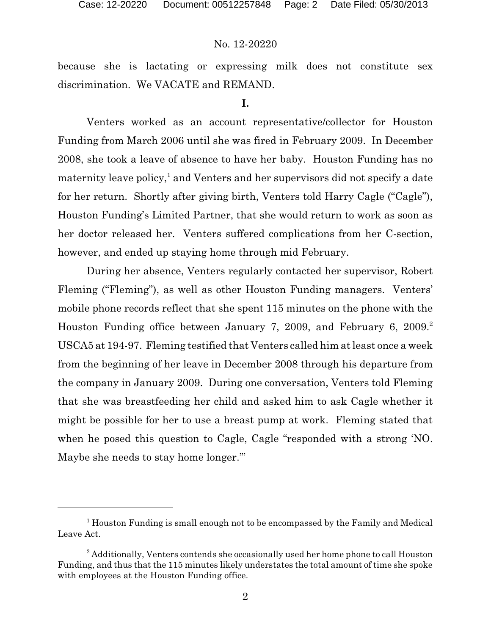because she is lactating or expressing milk does not constitute sex discrimination. We VACATE and REMAND.

## **I.**

Venters worked as an account representative/collector for Houston Funding from March 2006 until she was fired in February 2009. In December 2008, she took a leave of absence to have her baby. Houston Funding has no maternity leave policy,<sup>1</sup> and Venters and her supervisors did not specify a date for her return. Shortly after giving birth, Venters told Harry Cagle ("Cagle"), Houston Funding's Limited Partner, that she would return to work as soon as her doctor released her. Venters suffered complications from her C-section, however, and ended up staying home through mid February.

During her absence, Venters regularly contacted her supervisor, Robert Fleming ("Fleming"), as well as other Houston Funding managers. Venters' mobile phone records reflect that she spent 115 minutes on the phone with the Houston Funding office between January 7, 2009, and February 6, 2009.<sup>2</sup> USCA5 at 194-97. Fleming testified that Venters called him at least once a week from the beginning of her leave in December 2008 through his departure from the company in January 2009. During one conversation, Venters told Fleming that she was breastfeeding her child and asked him to ask Cagle whether it might be possible for her to use a breast pump at work. Fleming stated that when he posed this question to Cagle, Cagle "responded with a strong 'NO. Maybe she needs to stay home longer.'"

<sup>1</sup> Houston Funding is small enough not to be encompassed by the Family and Medical Leave Act.

 $2$  Additionally, Venters contends she occasionally used her home phone to call Houston Funding, and thus that the 115 minutes likely understates the total amount of time she spoke with employees at the Houston Funding office.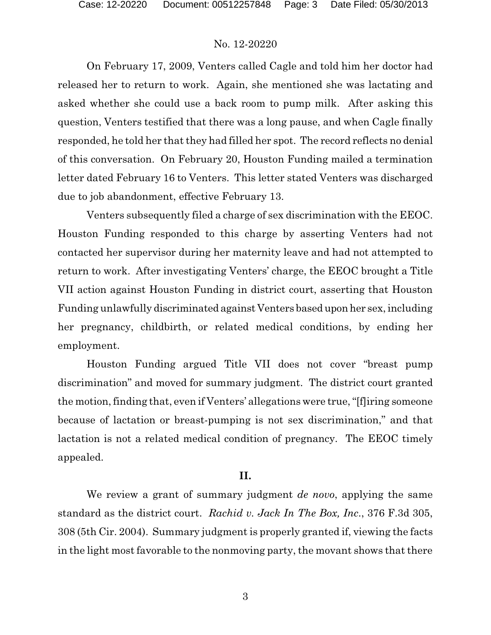On February 17, 2009, Venters called Cagle and told him her doctor had released her to return to work. Again, she mentioned she was lactating and asked whether she could use a back room to pump milk. After asking this question, Venters testified that there was a long pause, and when Cagle finally responded, he told her that they had filled her spot. The record reflects no denial of this conversation. On February 20, Houston Funding mailed a termination letter dated February 16 to Venters. This letter stated Venters was discharged due to job abandonment, effective February 13.

Venters subsequently filed a charge of sex discrimination with the EEOC. Houston Funding responded to this charge by asserting Venters had not contacted her supervisor during her maternity leave and had not attempted to return to work. After investigating Venters' charge, the EEOC brought a Title VII action against Houston Funding in district court, asserting that Houston Funding unlawfully discriminated against Venters based upon her sex, including her pregnancy, childbirth, or related medical conditions, by ending her employment.

Houston Funding argued Title VII does not cover "breast pump discrimination" and moved for summary judgment. The district court granted the motion, finding that, even if Venters' allegations were true, "[f]iring someone because of lactation or breast-pumping is not sex discrimination," and that lactation is not a related medical condition of pregnancy. The EEOC timely appealed.

# **II.**

We review a grant of summary judgment *de novo*, applying the same standard as the district court. *Rachid v. Jack In The Box, Inc*., 376 F.3d 305, 308 (5th Cir. 2004). Summary judgment is properly granted if, viewing the facts in the light most favorable to the nonmoving party, the movant shows that there

3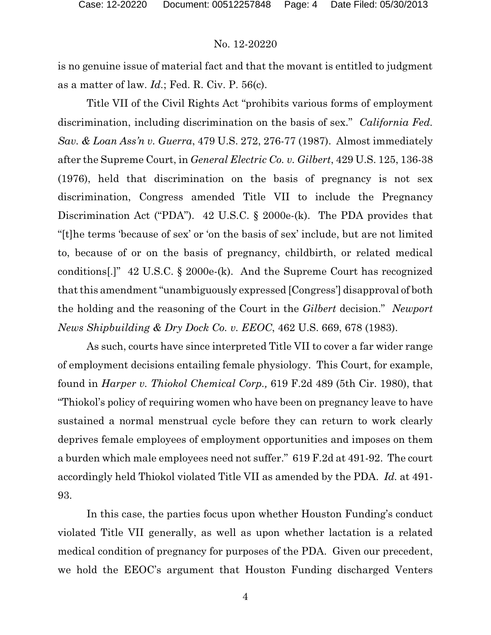is no genuine issue of material fact and that the movant is entitled to judgment as a matter of law. *Id.*; Fed. R. Civ. P. 56(c).

Title VII of the Civil Rights Act "prohibits various forms of employment discrimination, including discrimination on the basis of sex." *California Fed. Sav. & Loan Ass'n v. Guerra*, 479 U.S. 272, 276-77 (1987). Almost immediately after the Supreme Court, in *General Electric Co. v. Gilbert*, 429 U.S. 125, 136-38 (1976), held that discrimination on the basis of pregnancy is not sex discrimination, Congress amended Title VII to include the Pregnancy Discrimination Act ("PDA"). 42 U.S.C. § 2000e-(k). The PDA provides that "[t]he terms 'because of sex' or 'on the basis of sex' include, but are not limited to, because of or on the basis of pregnancy, childbirth, or related medical conditions[.]" 42 U.S.C. § 2000e-(k). And the Supreme Court has recognized that this amendment "unambiguously expressed [Congress'] disapproval of both the holding and the reasoning of the Court in the *Gilbert* decision." *Newport News Shipbuilding & Dry Dock Co. v. EEOC*, 462 U.S. 669, 678 (1983).

As such, courts have since interpreted Title VII to cover a far wider range of employment decisions entailing female physiology. This Court, for example, found in *Harper v. Thiokol Chemical Corp.,* 619 F.2d 489 (5th Cir. 1980), that "Thiokol's policy of requiring women who have been on pregnancy leave to have sustained a normal menstrual cycle before they can return to work clearly deprives female employees of employment opportunities and imposes on them a burden which male employees need not suffer." 619 F.2d at 491-92. The court accordingly held Thiokol violated Title VII as amended by the PDA. *Id.* at 491- 93.

In this case, the parties focus upon whether Houston Funding's conduct violated Title VII generally, as well as upon whether lactation is a related medical condition of pregnancy for purposes of the PDA. Given our precedent, we hold the EEOC's argument that Houston Funding discharged Venters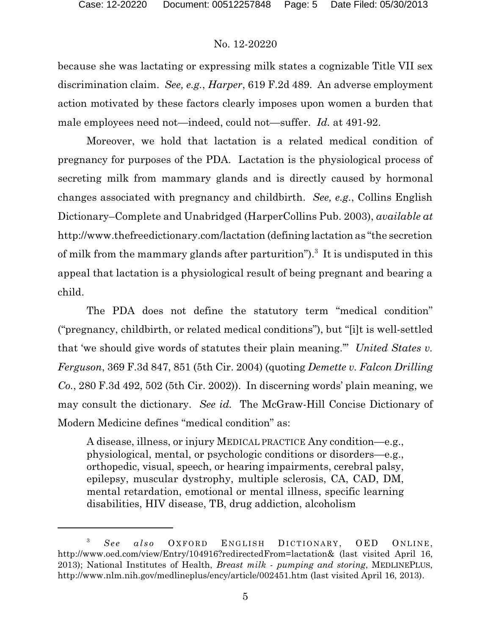because she was lactating or expressing milk states a cognizable Title VII sex discrimination claim. *See, e.g.*, *Harper*, 619 F.2d 489. An adverse employment action motivated by these factors clearly imposes upon women a burden that male employees need not—indeed, could not—suffer. *Id.* at 491-92.

Moreover, we hold that lactation is a related medical condition of pregnancy for purposes of the PDA. Lactation is the physiological process of secreting milk from mammary glands and is directly caused by hormonal changes associated with pregnancy and childbirth. *See, e.g.*, Collins English Dictionary–Complete and Unabridged (HarperCollins Pub. 2003), *available at* http://www.thefreedictionary.com/lactation (defining lactation as "the secretion of milk from the mammary glands after parturition").<sup>3</sup> It is undisputed in this appeal that lactation is a physiological result of being pregnant and bearing a child.

The PDA does not define the statutory term "medical condition" ("pregnancy, childbirth, or related medical conditions"), but "[i]t is well-settled that 'we should give words of statutes their plain meaning.'" *United States v. Ferguson*, 369 F.3d 847, 851 (5th Cir. 2004) (quoting *Demette v. Falcon Drilling Co.*, 280 F.3d 492, 502 (5th Cir. 2002)). In discerning words' plain meaning, we may consult the dictionary. *See id.* The McGraw-Hill Concise Dictionary of Modern Medicine defines "medical condition" as:

A disease, illness, or injury MEDICAL PRACTICE Any condition—e.g., physiological, mental, or psychologic conditions or disorders—e.g., orthopedic, visual, speech, or hearing impairments, cerebral palsy, epilepsy, muscular dystrophy, multiple sclerosis, CA, CAD, DM, mental retardation, emotional or mental illness, specific learning disabilities, HIV disease, TB, drug addiction, alcoholism

<sup>&</sup>lt;sup>3</sup> *See also* OXFORD ENGLISH DICTIONARY, OED ONLINE, http://www.oed.com/view/Entry/104916?redirectedFrom=lactation& (last visited April 16, 2013); National Institutes of Health, *Breast milk - pumping and storing*, MEDLINEPLUS, http://www.nlm.nih.gov/medlineplus/ency/article/002451.htm (last visited April 16, 2013).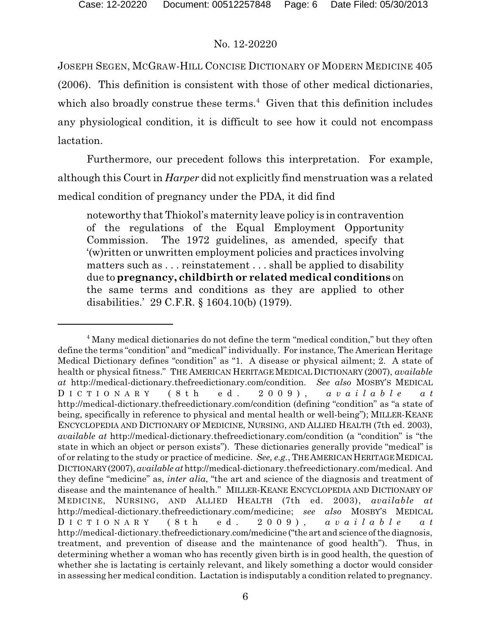JOSEPH SEGEN, MCGRAW-HILL CONCISE DICTIONARY OF MODERN MEDICINE 405 (2006). This definition is consistent with those of other medical dictionaries, which also broadly construe these terms.<sup> $4$ </sup> Given that this definition includes any physiological condition, it is difficult to see how it could not encompass lactation.

Furthermore, our precedent follows this interpretation. For example, although this Court in *Harper* did not explicitly find menstruation was a related medical condition of pregnancy under the PDA, it did find

noteworthy that Thiokol's maternity leave policy is in contravention of the regulations of the Equal Employment Opportunity Commission. The 1972 guidelines, as amended, specify that '(w)ritten or unwritten employment policies and practices involving matters such as . . . reinstatement . . . shall be applied to disability due to **pregnancy, childbirth or related medical conditions** on the same terms and conditions as they are applied to other disabilities.' 29 C.F.R. § 1604.10(b) (1979).

<sup>&</sup>lt;sup>4</sup> Many medical dictionaries do not define the term "medical condition," but they often define the terms "condition" and "medical" individually. For instance, The American Heritage Medical Dictionary defines "condition" as "1. A disease or physical ailment; 2. A state of health or physical fitness." THE AMERICAN HERITAGE MEDICAL DICTIONARY (2007), *available at* http://medical-dictionary.thefreedictionary.com/condition. *See also* MOSBY'S MEDICAL D I C T I O N A R Y ( 8 t h e d . 2 0 0 9 ) , *a v a i l a b l e a t* http://medical-dictionary.thefreedictionary.com/condition (defining "condition" as "a state of being, specifically in reference to physical and mental health or well-being"); MILLER-KEANE ENCYCLOPEDIA AND DICTIONARY OF MEDICINE, NURSING, AND ALLIED HEALTH (7th ed. 2003), *available at* http://medical-dictionary.thefreedictionary.com/condition (a "condition" is "the state in which an object or person exists"). These dictionaries generally provide "medical" is of or relating to the study or practice of medicine. *See, e.g.*, THE AMERICAN HERITAGE MEDICAL DICTIONARY(2007), *available at* http://medical-dictionary.thefreedictionary.com/medical. And they define "medicine" as, *inter alia*, "the art and science of the diagnosis and treatment of disease and the maintenance of health." MILLER-KEANE ENCYCLOPEDIA AND DICTIONARY OF MEDICINE, NURSING, AND ALLIED HEALTH (7th ed. 2003), *available at* http://medical-dictionary.thefreedictionary.com/medicine; *see also* MOSBY'S MEDICAL D I C T I O N A R Y ( 8 t h e d . 2 0 0 9 ) , *a v a i l a b l e a t* http://medical-dictionary.thefreedictionary.com/medicine ("the art and science of the diagnosis, treatment, and prevention of disease and the maintenance of good health"). Thus, in determining whether a woman who has recently given birth is in good health, the question of whether she is lactating is certainly relevant, and likely something a doctor would consider in assessing her medical condition. Lactation is indisputably a condition related to pregnancy.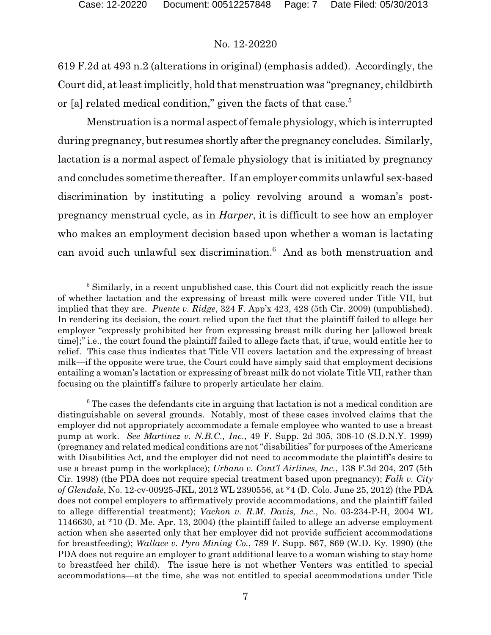619 F.2d at 493 n.2 (alterations in original) (emphasis added). Accordingly, the Court did, at least implicitly, hold that menstruation was "pregnancy, childbirth or [a] related medical condition," given the facts of that case.<sup>5</sup>

Menstruation is a normal aspect of female physiology, which is interrupted during pregnancy, but resumes shortly after the pregnancy concludes. Similarly, lactation is a normal aspect of female physiology that is initiated by pregnancy and concludes sometime thereafter. If an employer commits unlawful sex-based discrimination by instituting a policy revolving around a woman's postpregnancy menstrual cycle, as in *Harper*, it is difficult to see how an employer who makes an employment decision based upon whether a woman is lactating can avoid such unlawful sex discrimination.<sup>6</sup> And as both menstruation and

 $5$  Similarly, in a recent unpublished case, this Court did not explicitly reach the issue of whether lactation and the expressing of breast milk were covered under Title VII, but implied that they are. *Puente v. Ridge*, 324 F. App'x 423, 428 (5th Cir. 2009) (unpublished). In rendering its decision, the court relied upon the fact that the plaintiff failed to allege her employer "expressly prohibited her from expressing breast milk during her [allowed break time];" i.e., the court found the plaintiff failed to allege facts that, if true, would entitle her to relief. This case thus indicates that Title VII covers lactation and the expressing of breast milk—if the opposite were true, the Court could have simply said that employment decisions entailing a woman's lactation or expressing of breast milk do not violate Title VII, rather than focusing on the plaintiff's failure to properly articulate her claim.

<sup>&</sup>lt;sup>6</sup> The cases the defendants cite in arguing that lactation is not a medical condition are distinguishable on several grounds. Notably, most of these cases involved claims that the employer did not appropriately accommodate a female employee who wanted to use a breast pump at work. *See Martinez v. N.B.C., Inc.*, 49 F. Supp. 2d 305, 308-10 (S.D.N.Y. 1999) (pregnancy and related medical conditions are not "disabilities" for purposes of the Americans with Disabilities Act*,* and the employer did not need to accommodate the plaintiff's desire to use a breast pump in the workplace); *Urbano v. Cont'l Airlines, Inc.*, 138 F.3d 204, 207 (5th Cir. 1998) (the PDA does not require special treatment based upon pregnancy); *Falk v. City of Glendale*, No. 12-cv-00925-JKL, 2012 WL 2390556, at \*4 (D. Colo. June 25, 2012) (the PDA does not compel employers to affirmatively provide accommodations, and the plaintiff failed to allege differential treatment); *Vachon v. R.M. Davis, Inc.*, No. 03-234-P-H, 2004 WL 1146630, at \*10 (D. Me. Apr. 13, 2004) (the plaintiff failed to allege an adverse employment action when she asserted only that her employer did not provide sufficient accommodations for breastfeeding); *Wallace v. Pyro Mining Co.*, 789 F. Supp. 867, 869 (W.D. Ky. 1990) (the PDA does not require an employer to grant additional leave to a woman wishing to stay home to breastfeed her child). The issue here is not whether Venters was entitled to special accommodations—at the time, she was not entitled to special accommodations under Title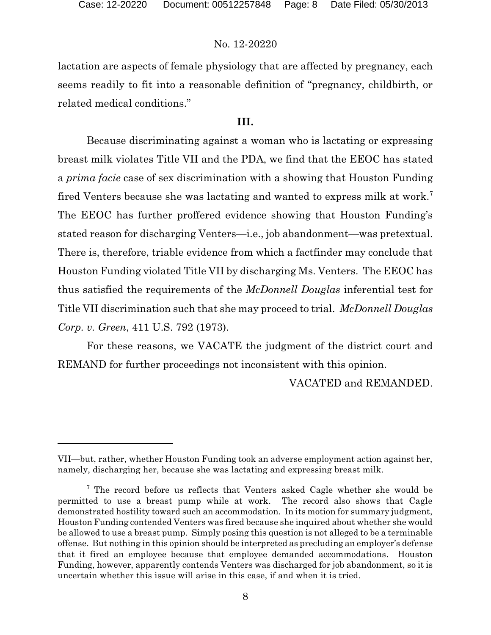lactation are aspects of female physiology that are affected by pregnancy, each seems readily to fit into a reasonable definition of "pregnancy, childbirth, or related medical conditions."

## **III.**

Because discriminating against a woman who is lactating or expressing breast milk violates Title VII and the PDA, we find that the EEOC has stated a *prima facie* case of sex discrimination with a showing that Houston Funding fired Venters because she was lactating and wanted to express milk at work.<sup>7</sup> The EEOC has further proffered evidence showing that Houston Funding's stated reason for discharging Venters—i.e., job abandonment—was pretextual. There is, therefore, triable evidence from which a factfinder may conclude that Houston Funding violated Title VII by discharging Ms. Venters. The EEOC has thus satisfied the requirements of the *McDonnell Douglas* inferential test for Title VII discrimination such that she may proceed to trial. *McDonnell Douglas Corp. v. Green*, 411 U.S. 792 (1973).

For these reasons, we VACATE the judgment of the district court and REMAND for further proceedings not inconsistent with this opinion.

VACATED and REMANDED.

VII—but, rather, whether Houston Funding took an adverse employment action against her, namely, discharging her, because she was lactating and expressing breast milk.

<sup>&</sup>lt;sup>7</sup> The record before us reflects that Venters asked Cagle whether she would be permitted to use a breast pump while at work. The record also shows that Cagle demonstrated hostility toward such an accommodation. In its motion for summary judgment, Houston Funding contended Venters was fired because she inquired about whether she would be allowed to use a breast pump. Simply posing this question is not alleged to be a terminable offense. But nothing in this opinion should be interpreted as precluding an employer's defense that it fired an employee because that employee demanded accommodations. Houston Funding, however, apparently contends Venters was discharged for job abandonment, so it is uncertain whether this issue will arise in this case, if and when it is tried.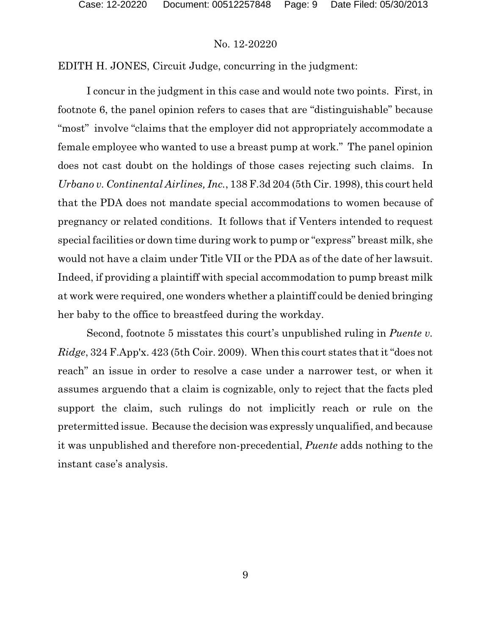EDITH H. JONES, Circuit Judge, concurring in the judgment:

I concur in the judgment in this case and would note two points. First, in footnote 6, the panel opinion refers to cases that are "distinguishable" because "most" involve "claims that the employer did not appropriately accommodate a female employee who wanted to use a breast pump at work." The panel opinion does not cast doubt on the holdings of those cases rejecting such claims. In *Urbano v. Continental Airlines, Inc.*, 138 F.3d 204 (5th Cir. 1998), this court held that the PDA does not mandate special accommodations to women because of pregnancy or related conditions. It follows that if Venters intended to request special facilities or down time during work to pump or "express" breast milk, she would not have a claim under Title VII or the PDA as of the date of her lawsuit. Indeed, if providing a plaintiff with special accommodation to pump breast milk at work were required, one wonders whether a plaintiff could be denied bringing her baby to the office to breastfeed during the workday.

Second, footnote 5 misstates this court's unpublished ruling in *Puente v. Ridge*, 324 F.App'x. 423 (5th Coir. 2009). When this court states that it "does not reach" an issue in order to resolve a case under a narrower test, or when it assumes arguendo that a claim is cognizable, only to reject that the facts pled support the claim, such rulings do not implicitly reach or rule on the pretermitted issue. Because the decision was expressly unqualified, and because it was unpublished and therefore non-precedential, *Puente* adds nothing to the instant case's analysis.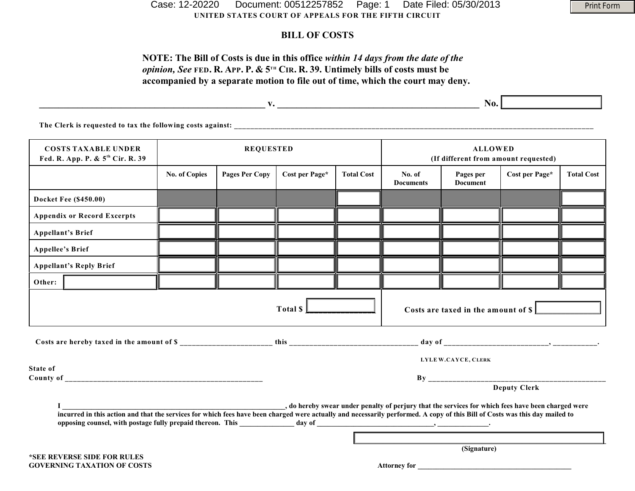**UNITED STATES COURT OF APPEALS FOR THE FIFTH CIRCUIT** Case: 12-20220 Document: 00512257852 Page: 1 Date Filed: 05/30/2013

### **BILL OF COSTS**

## **NOTE: The Bill of Costs is due in this office** *within 14 days from the date of the opinion, See* FED. R. APP. P. & 5<sup>TH</sup> CIR. R. 39. Untimely bills of costs must be **accompanied by a separate motion to file out of time, which the court may deny.**

|                                                                            | $\mathbf{v}$ .       |                |                |                                                        | No.                        |                              |                |                   |
|----------------------------------------------------------------------------|----------------------|----------------|----------------|--------------------------------------------------------|----------------------------|------------------------------|----------------|-------------------|
| The Clerk is requested to tax the following costs against:                 |                      |                |                |                                                        |                            |                              |                |                   |
| <b>COSTS TAXABLE UNDER</b><br>Fed. R. App. P. & 5 <sup>th</sup> Cir. R. 39 | <b>REQUESTED</b>     |                |                | <b>ALLOWED</b><br>(If different from amount requested) |                            |                              |                |                   |
|                                                                            | <b>No. of Copies</b> | Pages Per Copy | Cost per Page* | <b>Total Cost</b>                                      | No. of<br><b>Documents</b> | Pages per<br><b>Document</b> | Cost per Page* | <b>Total Cost</b> |
| <b>Docket Fee (\$450.00)</b>                                               |                      |                |                |                                                        |                            |                              |                |                   |
| <b>Appendix or Record Excerpts</b>                                         |                      |                |                |                                                        |                            |                              |                |                   |
| <b>Appellant's Brief</b>                                                   |                      |                |                |                                                        |                            |                              |                |                   |

**Appellee's Brief**

**Other:**

**Appellant's Reply Brief**

| Costs are hereby taxed in the amount of \$                 | this                                                                                                                                                                                                                                                                                                                                                                                                                                                                                                                            | day of              |  |  |  |  |  |
|------------------------------------------------------------|---------------------------------------------------------------------------------------------------------------------------------------------------------------------------------------------------------------------------------------------------------------------------------------------------------------------------------------------------------------------------------------------------------------------------------------------------------------------------------------------------------------------------------|---------------------|--|--|--|--|--|
|                                                            |                                                                                                                                                                                                                                                                                                                                                                                                                                                                                                                                 | LYLE W.CAYCE, CLERK |  |  |  |  |  |
| State of                                                   |                                                                                                                                                                                                                                                                                                                                                                                                                                                                                                                                 |                     |  |  |  |  |  |
| County of                                                  |                                                                                                                                                                                                                                                                                                                                                                                                                                                                                                                                 | Bv                  |  |  |  |  |  |
|                                                            |                                                                                                                                                                                                                                                                                                                                                                                                                                                                                                                                 | <b>Deputy Clerk</b> |  |  |  |  |  |
| opposing counsel, with postage fully prepaid thereon. This | , do hereby swear under penalty of perjury that the services for which fees have been charged were<br>incurred in this action and that the services for which fees have been charged were actually and necessarily performed. A copy of this Bill of Costs was this day mailed to<br>day of<br>о производство по производство в соответство на селото на селото на селото на селото на селото на селото на се<br>В селото на селото на селото на селото на селото на селото на селото на селото на селото на селото на селото н |                     |  |  |  |  |  |
|                                                            |                                                                                                                                                                                                                                                                                                                                                                                                                                                                                                                                 |                     |  |  |  |  |  |
|                                                            |                                                                                                                                                                                                                                                                                                                                                                                                                                                                                                                                 | (Signature)         |  |  |  |  |  |
| *SEE REVERSE SIDE FOR RULES                                |                                                                                                                                                                                                                                                                                                                                                                                                                                                                                                                                 |                     |  |  |  |  |  |
| <b>GOVERNING TAXATION OF COSTS</b>                         |                                                                                                                                                                                                                                                                                                                                                                                                                                                                                                                                 | <b>Attorney for</b> |  |  |  |  |  |

Total \$  $\boxed{\phantom{a}}$  **Costs are taxed in the amount of \$** 

Print Form